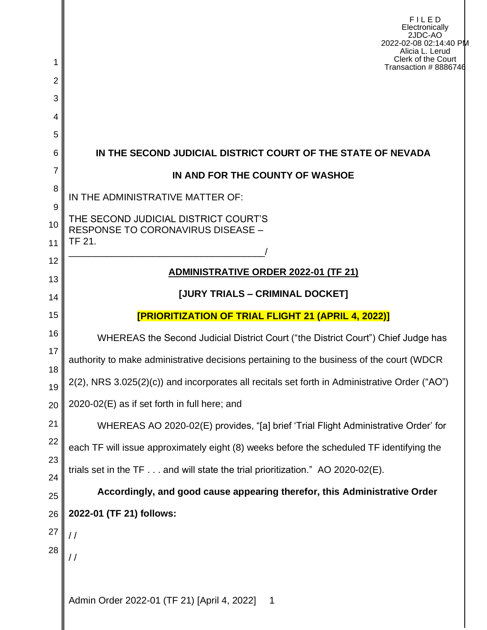| 1                   | <b>FILED</b><br>Electronically<br>2JDC-AO<br>2022-02-08 02:14:40 PM<br>Alicia L. Lerud<br>Clerk of the Court<br>Transaction #8886746 |  |  |  |  |
|---------------------|--------------------------------------------------------------------------------------------------------------------------------------|--|--|--|--|
| $\overline{2}$<br>3 |                                                                                                                                      |  |  |  |  |
| 4                   |                                                                                                                                      |  |  |  |  |
| 5                   |                                                                                                                                      |  |  |  |  |
| 6                   | IN THE SECOND JUDICIAL DISTRICT COURT OF THE STATE OF NEVADA                                                                         |  |  |  |  |
| 7                   | IN AND FOR THE COUNTY OF WASHOE                                                                                                      |  |  |  |  |
| 8                   | IN THE ADMINISTRATIVE MATTER OF:                                                                                                     |  |  |  |  |
| 9<br>10<br>11       | THE SECOND JUDICIAL DISTRICT COURT'S<br>RESPONSE TO CORONAVIRUS DISEASE -<br>TF 21.                                                  |  |  |  |  |
| 12                  |                                                                                                                                      |  |  |  |  |
| 13                  | ADMINISTRATIVE ORDER 2022-01 (TF 21)                                                                                                 |  |  |  |  |
| 14                  | [JURY TRIALS - CRIMINAL DOCKET]                                                                                                      |  |  |  |  |
| 15                  | [PRIORITIZATION OF TRIAL FLIGHT 21 (APRIL 4, 2022)]                                                                                  |  |  |  |  |
| 16                  | WHEREAS the Second Judicial District Court ("the District Court") Chief Judge has                                                    |  |  |  |  |
| 17<br>18            | authority to make administrative decisions pertaining to the business of the court (WDCR                                             |  |  |  |  |
| 19                  | 2(2), NRS 3.025(2)(c)) and incorporates all recitals set forth in Administrative Order ("AO")                                        |  |  |  |  |
| 20                  | 2020-02(E) as if set forth in full here; and                                                                                         |  |  |  |  |
| 21                  | WHEREAS AO 2020-02(E) provides, "[a] brief 'Trial Flight Administrative Order' for                                                   |  |  |  |  |
| 22                  | each TF will issue approximately eight (8) weeks before the scheduled TF identifying the                                             |  |  |  |  |
| 23<br>24            | trials set in the $TF \dots$ and will state the trial prioritization." AO 2020-02(E).                                                |  |  |  |  |
| 25                  | Accordingly, and good cause appearing therefor, this Administrative Order                                                            |  |  |  |  |
| 26                  | 2022-01 (TF 21) follows:                                                                                                             |  |  |  |  |
| 27                  | $\frac{1}{2}$                                                                                                                        |  |  |  |  |
| 28                  | //                                                                                                                                   |  |  |  |  |
|                     | Admin Order 2022-01 (TF 21) [April 4, 2022]<br>$\overline{1}$                                                                        |  |  |  |  |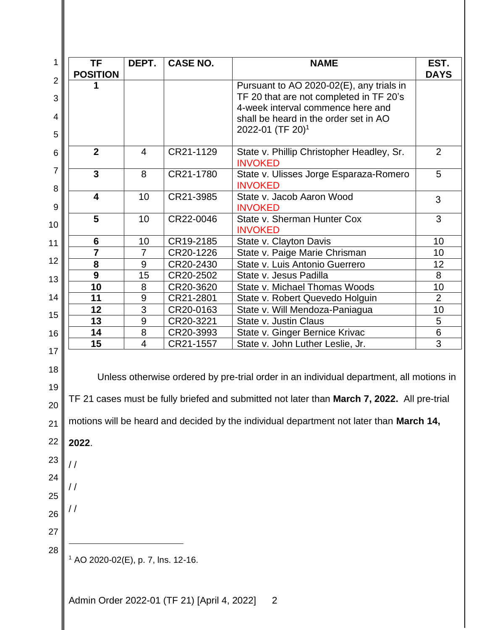| <b>POSITION</b>                               | DEPT.            | <b>CASE NO.</b> | <b>NAME</b>                                                                                                                                                                            | EST.           |
|-----------------------------------------------|------------------|-----------------|----------------------------------------------------------------------------------------------------------------------------------------------------------------------------------------|----------------|
|                                               |                  |                 |                                                                                                                                                                                        | <b>DAYS</b>    |
|                                               |                  |                 | Pursuant to AO 2020-02(E), any trials in<br>TF 20 that are not completed in TF 20's                                                                                                    |                |
|                                               |                  |                 | 4-week interval commence here and                                                                                                                                                      |                |
|                                               |                  |                 | shall be heard in the order set in AO                                                                                                                                                  |                |
|                                               |                  |                 | 2022-01 (TF 20) <sup>1</sup>                                                                                                                                                           |                |
|                                               |                  |                 |                                                                                                                                                                                        |                |
| $\overline{2}$                                | $\overline{4}$   | CR21-1129       | State v. Phillip Christopher Headley, Sr.<br><b>INVOKED</b>                                                                                                                            | 2              |
| $\overline{3}$                                | 8                | CR21-1780       | State v. Ulisses Jorge Esparaza-Romero<br><b>INVOKED</b>                                                                                                                               | 5              |
| $\overline{\mathbf{4}}$                       | 10               | CR21-3985       | State v. Jacob Aaron Wood<br><b>INVOKED</b>                                                                                                                                            | 3              |
| 5                                             | 10               | CR22-0046       | State v. Sherman Hunter Cox<br><b>INVOKED</b>                                                                                                                                          | 3              |
| 6                                             | 10               | CR19-2185       | State v. Clayton Davis                                                                                                                                                                 | 10             |
| 7                                             | $\overline{7}$   | CR20-1226       | State v. Paige Marie Chrisman                                                                                                                                                          | 10             |
| 8                                             | 9                | CR20-2430       | State v. Luis Antonio Guerrero                                                                                                                                                         | 12             |
| 9                                             | 15               | CR20-2502       | State v. Jesus Padilla                                                                                                                                                                 | 8              |
| 10                                            | 8                | CR20-3620       | State v. Michael Thomas Woods                                                                                                                                                          | 10             |
| 11                                            | 9                | CR21-2801       | State v. Robert Quevedo Holguin                                                                                                                                                        | $\overline{2}$ |
| 12                                            | 3                | CR20-0163       | State v. Will Mendoza-Paniagua                                                                                                                                                         | 10             |
| 13                                            | $\boldsymbol{9}$ | CR20-3221       | State v. Justin Claus                                                                                                                                                                  | 5              |
| 14                                            | 8                | CR20-3993       | State v. Ginger Bernice Krivac                                                                                                                                                         | 6              |
|                                               | 4                | CR21-1557       | State v. John Luther Leslie, Jr.                                                                                                                                                       | 3              |
| 15                                            |                  |                 |                                                                                                                                                                                        |                |
|                                               |                  |                 | Unless otherwise ordered by pre-trial order in an individual department, all motions in<br>TF 21 cases must be fully briefed and submitted not later than March 7, 2022. All pre-trial |                |
|                                               |                  |                 | motions will be heard and decided by the individual department not later than March 14,                                                                                                |                |
|                                               |                  |                 |                                                                                                                                                                                        |                |
| 2022.<br>$\frac{1}{2}$                        |                  |                 |                                                                                                                                                                                        |                |
|                                               |                  |                 |                                                                                                                                                                                        |                |
| //                                            |                  |                 |                                                                                                                                                                                        |                |
|                                               |                  |                 |                                                                                                                                                                                        |                |
| / /                                           |                  |                 |                                                                                                                                                                                        |                |
|                                               |                  |                 |                                                                                                                                                                                        |                |
| <sup>1</sup> AO 2020-02(E), p. 7, lns. 12-16. |                  |                 |                                                                                                                                                                                        |                |